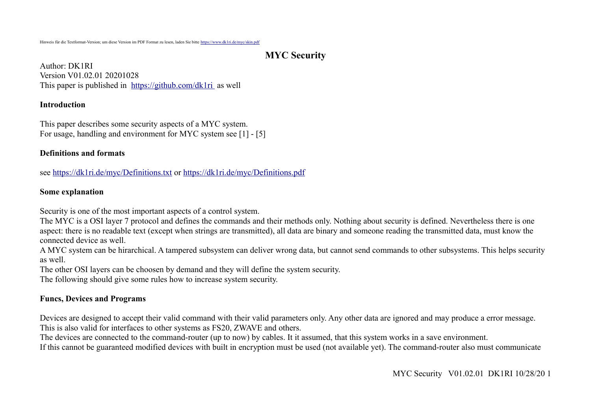# **MYC Security**

Author: DK1RI Version V01.02.01 20201028 This paper is published in <https://github.com/dk1ri>as well

#### **Introduction**

This paper describes some security aspects of a MYC system. For usage, handling and environment for MYC system see [1] - [5]

### **Definitions and formats**

see<https://dk1ri.de/myc/Definitions.txt>or<https://dk1ri.de/myc/Definitions.pdf>

### **Some explanation**

Security is one of the most important aspects of a control system.

The MYC is a OSI layer 7 protocol and defines the commands and their methods only. Nothing about security is defined. Nevertheless there is one aspect: there is no readable text (except when strings are transmitted), all data are binary and someone reading the transmitted data, must know the connected device as well.

A MYC system can be hirarchical. A tampered subsystem can deliver wrong data, but cannot send commands to other subsystems. This helps security as well.

The other OSI layers can be choosen by demand and they will define the system security.

The following should give some rules how to increase system security.

## **Funcs, Devices and Programs**

Devices are designed to accept their valid command with their valid parameters only. Any other data are ignored and may produce a error message. This is also valid for interfaces to other systems as FS20, ZWAVE and others.

The devices are connected to the command-router (up to now) by cables. It it assumed, that this system works in a save environment.

If this cannot be guaranteed modified devices with built in encryption must be used (not available yet). The command-router also must communicate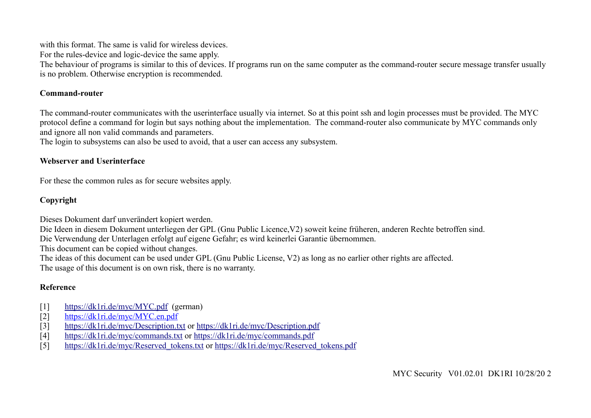with this format. The same is valid for wireless devices.

For the rules-device and logic-device the same apply.

The behaviour of programs is similar to this of devices. If programs run on the same computer as the command-router secure message transfer usually is no problem. Otherwise encryption is recommended.

### **Command-router**

The command-router communicates with the userinterface usually via internet. So at this point ssh and login processes must be provided. The MYC protocol define a command for login but says nothing about the implementation. The command-router also communicate by MYC commands only and ignore all non valid commands and parameters.

The login to subsystems can also be used to avoid, that a user can access any subsystem.

## **Webserver and Userinterface**

For these the common rules as for secure websites apply.

## **Copyright**

Dieses Dokument darf unverändert kopiert werden.

Die Ideen in diesem Dokument unterliegen der GPL (Gnu Public Licence,V2) soweit keine früheren, anderen Rechte betroffen sind.

Die Verwendung der Unterlagen erfolgt auf eigene Gefahr; es wird keinerlei Garantie übernommen.

This document can be copied without changes.

The ideas of this document can be used under GPL (Gnu Public License, V2) as long as no earlier other rights are affected.

The usage of this document is on own risk, there is no warranty.

# **Reference**

- [1] <https://dk1ri.de/myc/MYC.pdf>(german)
- [2] [https://dk1ri.de/myc/MYC.en.pdf](https://dk1ri.de/myc/MYC_en.pdf)
- [3] <https://dk1ri.de/myc/Description.txt>or<https://dk1ri.de/myc/Description.pdf>
- [4] <https://dk1ri.de/myc/commands.txt>or<https://dk1ri.de/myc/commands.pdf>
- [5] [https://dk1ri.de/myc/Reserved\\_tokens.txt](https://dk1ri.de/myc/Reserved_tokens.txt) or [https://dk1ri.de/myc/Reserved\\_tokens.pdf](https://dk1ri.de/myc/Reserved_tokens.pdf)